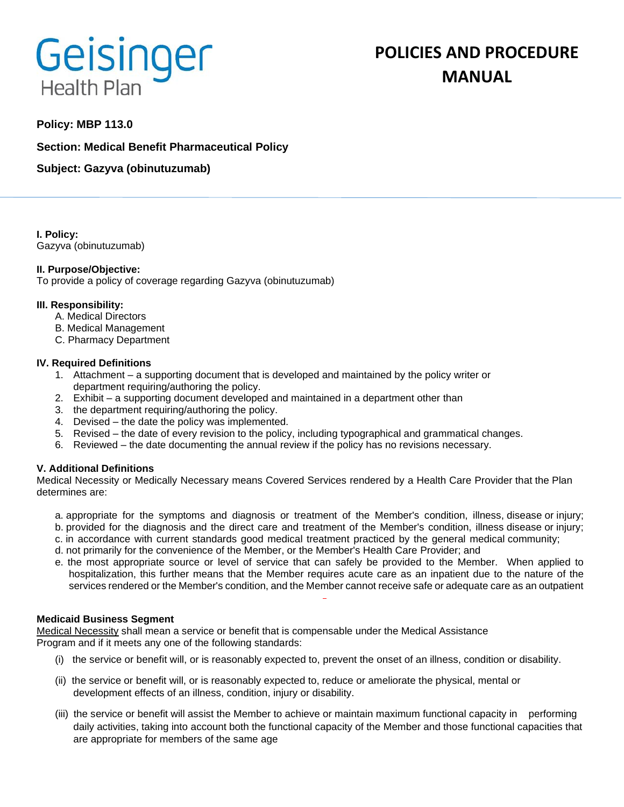# Geisinger **Health Plan**

# **POLICIES AND PROCEDURE MANUAL**

# **Policy: MBP 113.0**

**Section: Medical Benefit Pharmaceutical Policy**

**Subject: Gazyva (obinutuzumab)**

**I. Policy:** Gazyva (obinutuzumab)

# **II. Purpose/Objective:**

To provide a policy of coverage regarding Gazyva (obinutuzumab)

#### **III. Responsibility:**

- A. Medical Directors
- B. Medical Management
- C. Pharmacy Department

#### **IV. Required Definitions**

- 1. Attachment a supporting document that is developed and maintained by the policy writer or department requiring/authoring the policy.
- 2. Exhibit a supporting document developed and maintained in a department other than
- 3. the department requiring/authoring the policy.
- 4. Devised the date the policy was implemented.
- 5. Revised the date of every revision to the policy, including typographical and grammatical changes.
- 6. Reviewed the date documenting the annual review if the policy has no revisions necessary.

# **V. Additional Definitions**

Medical Necessity or Medically Necessary means Covered Services rendered by a Health Care Provider that the Plan determines are:

- a. appropriate for the symptoms and diagnosis or treatment of the Member's condition, illness, disease or injury; b. provided for the diagnosis and the direct care and treatment of the Member's condition, illness disease or injury;
- c. in accordance with current standards good medical treatment practiced by the general medical community;
- d. not primarily for the convenience of the Member, or the Member's Health Care Provider; and
- e. the most appropriate source or level of service that can safely be provided to the Member. When applied to hospitalization, this further means that the Member requires acute care as an inpatient due to the nature of the services rendered or the Member's condition, and the Member cannot receive safe or adequate care as an outpatient

#### **Medicaid Business Segment**

Medical Necessity shall mean a service or benefit that is compensable under the Medical Assistance Program and if it meets any one of the following standards:

- (i) the service or benefit will, or is reasonably expected to, prevent the onset of an illness, condition or disability.
- (ii) the service or benefit will, or is reasonably expected to, reduce or ameliorate the physical, mental or development effects of an illness, condition, injury or disability.
- (iii) the service or benefit will assist the Member to achieve or maintain maximum functional capacity in performing daily activities, taking into account both the functional capacity of the Member and those functional capacities that are appropriate for members of the same age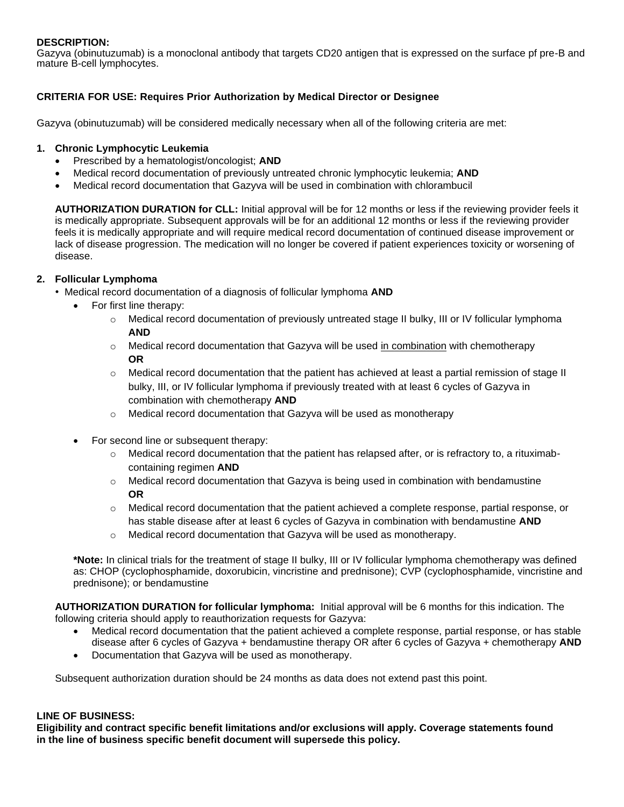# **DESCRIPTION:**

Gazyva (obinutuzumab) is a monoclonal antibody that targets CD20 antigen that is expressed on the surface pf pre-B and mature B-cell lymphocytes.

# **CRITERIA FOR USE: Requires Prior Authorization by Medical Director or Designee**

Gazyva (obinutuzumab) will be considered medically necessary when all of the following criteria are met:

### **1. Chronic Lymphocytic Leukemia**

- Prescribed by a hematologist/oncologist; **AND**
- Medical record documentation of previously untreated chronic lymphocytic leukemia; **AND**
- Medical record documentation that Gazyva will be used in combination with chlorambucil

**AUTHORIZATION DURATION for CLL:** Initial approval will be for 12 months or less if the reviewing provider feels it is medically appropriate. Subsequent approvals will be for an additional 12 months or less if the reviewing provider feels it is medically appropriate and will require medical record documentation of continued disease improvement or lack of disease progression. The medication will no longer be covered if patient experiences toxicity or worsening of disease.

#### **2. Follicular Lymphoma**

- Medical record documentation of a diagnosis of follicular lymphoma **AND**
	- For first line therapy:
		- o Medical record documentation of previously untreated stage II bulky, III or IV follicular lymphoma **AND**
		- $\circ$  Medical record documentation that Gazyva will be used in combination with chemotherapy **OR**
		- $\circ$  Medical record documentation that the patient has achieved at least a partial remission of stage II bulky, III, or IV follicular lymphoma if previously treated with at least 6 cycles of Gazyva in combination with chemotherapy **AND**
		- o Medical record documentation that Gazyva will be used as monotherapy
	- For second line or subsequent therapy:
		- $\circ$  Medical record documentation that the patient has relapsed after, or is refractory to, a rituximabcontaining regimen **AND**
		- $\circ$  Medical record documentation that Gazyva is being used in combination with bendamustine **OR**
		- $\circ$  Medical record documentation that the patient achieved a complete response, partial response, or has stable disease after at least 6 cycles of Gazyva in combination with bendamustine **AND**
		- o Medical record documentation that Gazyva will be used as monotherapy.

**\*Note:** In clinical trials for the treatment of stage II bulky, III or IV follicular lymphoma chemotherapy was defined as: CHOP (cyclophosphamide, doxorubicin, vincristine and prednisone); CVP (cyclophosphamide, vincristine and prednisone); or bendamustine

**AUTHORIZATION DURATION for follicular lymphoma:** Initial approval will be 6 months for this indication. The following criteria should apply to reauthorization requests for Gazyva:

- Medical record documentation that the patient achieved a complete response, partial response, or has stable disease after 6 cycles of Gazyva + bendamustine therapy OR after 6 cycles of Gazyva + chemotherapy **AND**
- Documentation that Gazyva will be used as monotherapy.

Subsequent authorization duration should be 24 months as data does not extend past this point.

#### **LINE OF BUSINESS:**

**Eligibility and contract specific benefit limitations and/or exclusions will apply. Coverage statements found in the line of business specific benefit document will supersede this policy.**